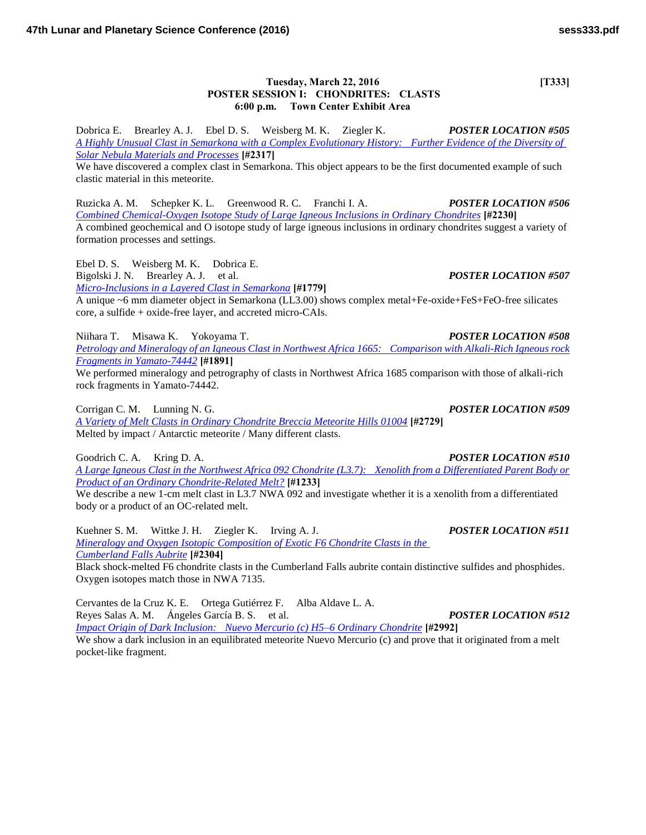## **Tuesday, March 22, 2016** [T333] **POSTER SESSION I: CHONDRITES: CLASTS 6:00 p.m. Town Center Exhibit Area**

Dobrica E. Brearley A. J. Ebel D. S. Weisberg M. K. Ziegler K. *POSTER LOCATION #505 [A Highly Unusual Clast in Semarkona with a Complex Evolutionary History: Further Evidence of the Diversity of](http://www.hou.usra.edu/meetings/lpsc2016/pdf/2317.pdf)  [Solar Nebula Materials and Processes](http://www.hou.usra.edu/meetings/lpsc2016/pdf/2317.pdf)* **[#2317]**

We have discovered a complex clast in Semarkona. This object appears to be the first documented example of such clastic material in this meteorite.

Ruzicka A. M. Schepker K. L. Greenwood R. C. Franchi I. A. *POSTER LOCATION #506 [Combined Chemical-Oxygen Isotope Study of Large Igneous Inclusions in Ordinary Chondrites](http://www.hou.usra.edu/meetings/lpsc2016/pdf/2230.pdf)* **[#2230]** A combined geochemical and O isotope study of large igneous inclusions in ordinary chondrites suggest a variety of formation processes and settings.

Ebel D. S. Weisberg M. K. Dobrica E.

Bigolski J. N. Brearley A. J. et al. *POSTER LOCATION #507*

*[Micro-Inclusions in a Layered Clast in Semarkona](http://www.hou.usra.edu/meetings/lpsc2016/pdf/1779.pdf)* **[#1779]**

A unique ~6 mm diameter object in Semarkona (LL3.00) shows complex metal+Fe-oxide+FeS+FeO-free silicates core, a sulfide + oxide-free layer, and accreted micro-CAIs.

Niihara T. Misawa K. Yokoyama T. *POSTER LOCATION #508 [Petrology and Mineralogy of an Igneous Clast in Northwest Africa 1665: Comparison with Alkali-Rich Igneous rock](http://www.hou.usra.edu/meetings/lpsc2016/pdf/1891.pdf)  [Fragments in Yamato-74442](http://www.hou.usra.edu/meetings/lpsc2016/pdf/1891.pdf)* **[#1891]**

We performed mineralogy and petrography of clasts in Northwest Africa 1685 comparison with those of alkali-rich rock fragments in Yamato-74442.

Corrigan C. M. Lunning N. G. *POSTER LOCATION #509*

*[A Variety of Melt Clasts in Ordinary Chondrite Breccia Meteorite Hills 01004](http://www.hou.usra.edu/meetings/lpsc2016/pdf/2729.pdf)* **[#2729]** Melted by impact / Antarctic meteorite / Many different clasts.

Goodrich C. A. Kring D. A. *POSTER LOCATION #510* 

*[A Large Igneous Clast in the Northwest Africa 092 Chondrite \(L3.7\): Xenolith from a Differentiated Parent Body or](http://www.hou.usra.edu/meetings/lpsc2016/pdf/1233.pdf)  [Product of an Ordinary Chondrite-Related Melt?](http://www.hou.usra.edu/meetings/lpsc2016/pdf/1233.pdf)* **[#1233]**

We describe a new 1-cm melt clast in L3.7 NWA 092 and investigate whether it is a xenolith from a differentiated body or a product of an OC-related melt.

Kuehner S. M. Wittke J. H. Ziegler K. Irving A. J. *POSTER LOCATION #511 [Mineralogy and Oxygen Isotopic Composition of Exotic F6 Chondrite Clasts in the](http://www.hou.usra.edu/meetings/lpsc2016/pdf/2304.pdf)  [Cumberland Falls Aubrite](http://www.hou.usra.edu/meetings/lpsc2016/pdf/2304.pdf)* **[#2304]** Black shock-melted F6 chondrite clasts in the Cumberland Falls aubrite contain distinctive sulfides and phosphides. Oxygen isotopes match those in NWA 7135.

Cervantes de la Cruz K. E. Ortega Gutiérrez F. Alba Aldave L. A. Reyes Salas A. M. Ángeles García B. S. et al. *POSTER LOCATION #512 [Impact Origin of Dark Inclusion: Nuevo Mercurio \(c\) H5–6 Ordinary Chondrite](http://www.hou.usra.edu/meetings/lpsc2016/pdf/2992.pdf)* **[#2992]** We show a dark inclusion in an equilibrated meteorite Nuevo Mercurio (c) and prove that it originated from a melt pocket-like fragment.